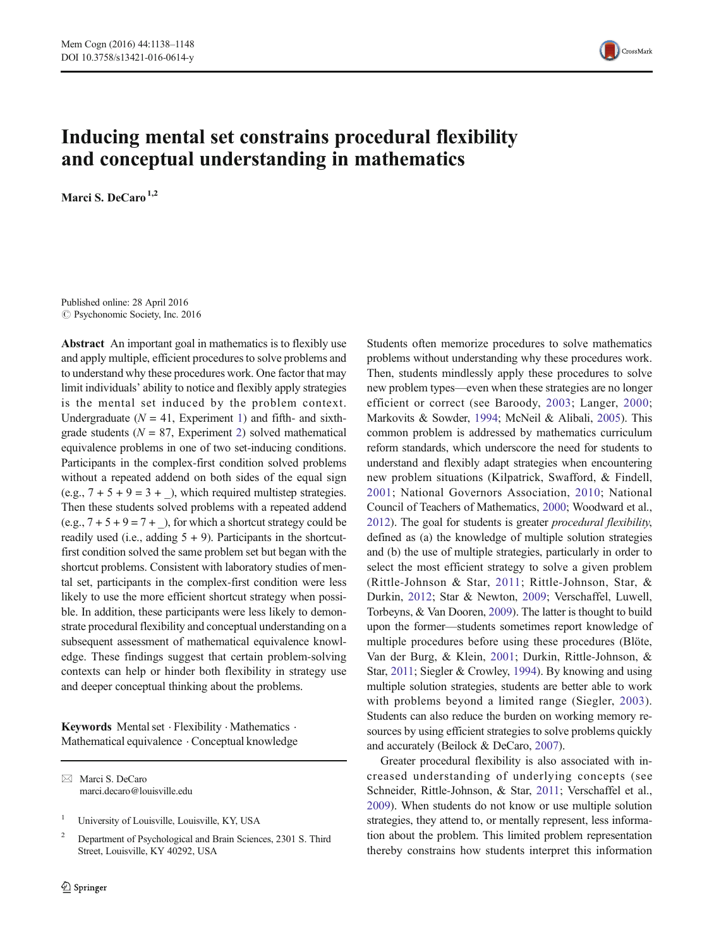

# Inducing mental set constrains procedural flexibility and conceptual understanding in mathematics

Marci S. DeCaro $1,2$ 

Published online: 28 April 2016  $\odot$  Psychonomic Society, Inc. 2016

Abstract An important goal in mathematics is to flexibly use and apply multiple, efficient procedures to solve problems and to understand why these procedures work. One factor that may limit individuals' ability to notice and flexibly apply strategies is the mental set induced by the problem context. Undergraduate ( $N = 41$ , Experiment [1\)](#page-2-0) and fifth- and sixthgrade students ( $N = 87$ , Experiment [2\)](#page-4-0) solved mathematical equivalence problems in one of two set-inducing conditions. Participants in the complex-first condition solved problems without a repeated addend on both sides of the equal sign (e.g.,  $7 + 5 + 9 = 3 +$ ), which required multistep strategies. Then these students solved problems with a repeated addend  $(e.g., 7 + 5 + 9 = 7 +$ ), for which a shortcut strategy could be readily used (i.e., adding  $5 + 9$ ). Participants in the shortcutfirst condition solved the same problem set but began with the shortcut problems. Consistent with laboratory studies of mental set, participants in the complex-first condition were less likely to use the more efficient shortcut strategy when possible. In addition, these participants were less likely to demonstrate procedural flexibility and conceptual understanding on a subsequent assessment of mathematical equivalence knowledge. These findings suggest that certain problem-solving contexts can help or hinder both flexibility in strategy use and deeper conceptual thinking about the problems.

Keywords Mental set · Flexibility · Mathematics · Mathematical equivalence . Conceptual knowledge

 $\boxtimes$  Marci S. DeCaro marci.decaro@louisville.edu

<sup>1</sup> University of Louisville, Louisville, KY, USA

<sup>2</sup> Department of Psychological and Brain Sciences, 2301 S. Third Street, Louisville, KY 40292, USA

Students often memorize procedures to solve mathematics problems without understanding why these procedures work. Then, students mindlessly apply these procedures to solve new problem types—even when these strategies are no longer efficient or correct (see Baroody, [2003;](#page-9-0) Langer, [2000;](#page-9-0) Markovits & Sowder, [1994](#page-9-0); McNeil & Alibali, [2005\)](#page-9-0). This common problem is addressed by mathematics curriculum reform standards, which underscore the need for students to understand and flexibly adapt strategies when encountering new problem situations (Kilpatrick, Swafford, & Findell, [2001](#page-9-0); National Governors Association, [2010](#page-9-0); National Council of Teachers of Mathematics, [2000](#page-9-0); Woodward et al., [2012\)](#page-10-0). The goal for students is greater procedural flexibility, defined as (a) the knowledge of multiple solution strategies and (b) the use of multiple strategies, particularly in order to select the most efficient strategy to solve a given problem (Rittle-Johnson & Star, [2011;](#page-9-0) Rittle-Johnson, Star, & Durkin, [2012;](#page-9-0) Star & Newton, [2009](#page-10-0); Verschaffel, Luwell, Torbeyns, & Van Dooren, [2009](#page-10-0)). The latter is thought to build upon the former—students sometimes report knowledge of multiple procedures before using these procedures (Blöte, Van der Burg, & Klein, [2001;](#page-9-0) Durkin, Rittle-Johnson, & Star, [2011](#page-9-0); Siegler & Crowley, [1994\)](#page-10-0). By knowing and using multiple solution strategies, students are better able to work with problems beyond a limited range (Siegler, [2003](#page-10-0)). Students can also reduce the burden on working memory resources by using efficient strategies to solve problems quickly and accurately (Beilock & DeCaro, [2007\)](#page-9-0).

Greater procedural flexibility is also associated with increased understanding of underlying concepts (see Schneider, Rittle-Johnson, & Star, [2011](#page-10-0); Verschaffel et al., [2009\)](#page-10-0). When students do not know or use multiple solution strategies, they attend to, or mentally represent, less information about the problem. This limited problem representation thereby constrains how students interpret this information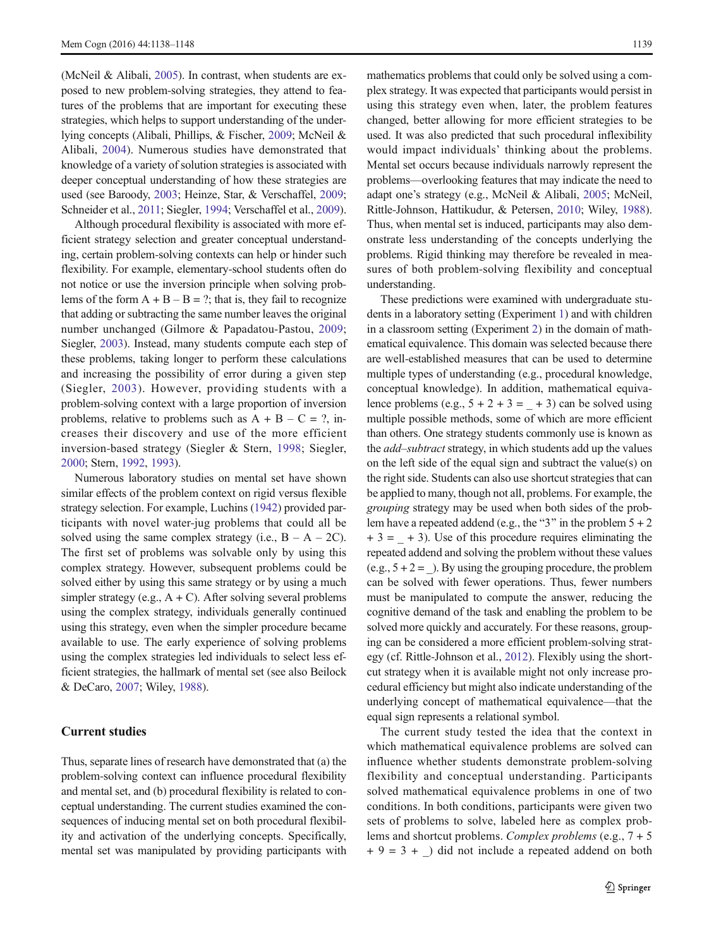(McNeil & Alibali, [2005\)](#page-9-0). In contrast, when students are exposed to new problem-solving strategies, they attend to features of the problems that are important for executing these strategies, which helps to support understanding of the underlying concepts (Alibali, Phillips, & Fischer, [2009](#page-9-0); McNeil & Alibali, [2004\)](#page-9-0). Numerous studies have demonstrated that knowledge of a variety of solution strategies is associated with deeper conceptual understanding of how these strategies are used (see Baroody, [2003](#page-9-0); Heinze, Star, & Verschaffel, [2009](#page-9-0); Schneider et al., [2011](#page-10-0); Siegler, [1994](#page-10-0); Verschaffel et al., [2009\)](#page-10-0).

Although procedural flexibility is associated with more efficient strategy selection and greater conceptual understanding, certain problem-solving contexts can help or hinder such flexibility. For example, elementary-school students often do not notice or use the inversion principle when solving problems of the form  $A + B - B = ?$ ; that is, they fail to recognize that adding or subtracting the same number leaves the original number unchanged (Gilmore & Papadatou-Pastou, [2009](#page-9-0); Siegler, [2003\)](#page-10-0). Instead, many students compute each step of these problems, taking longer to perform these calculations and increasing the possibility of error during a given step (Siegler, [2003](#page-10-0)). However, providing students with a problem-solving context with a large proportion of inversion problems, relative to problems such as  $A + B - C = ?$ , increases their discovery and use of the more efficient inversion-based strategy (Siegler & Stern, [1998](#page-10-0); Siegler, [2000;](#page-10-0) Stern, [1992,](#page-10-0) [1993](#page-10-0)).

Numerous laboratory studies on mental set have shown similar effects of the problem context on rigid versus flexible strategy selection. For example, Luchins [\(1942\)](#page-9-0) provided participants with novel water-jug problems that could all be solved using the same complex strategy (i.e.,  $B - A - 2C$ ). The first set of problems was solvable only by using this complex strategy. However, subsequent problems could be solved either by using this same strategy or by using a much simpler strategy (e.g.,  $A + C$ ). After solving several problems using the complex strategy, individuals generally continued using this strategy, even when the simpler procedure became available to use. The early experience of solving problems using the complex strategies led individuals to select less efficient strategies, the hallmark of mental set (see also Beilock & DeCaro, [2007](#page-9-0); Wiley, [1988\)](#page-10-0).

## Current studies

Thus, separate lines of research have demonstrated that (a) the problem-solving context can influence procedural flexibility and mental set, and (b) procedural flexibility is related to conceptual understanding. The current studies examined the consequences of inducing mental set on both procedural flexibility and activation of the underlying concepts. Specifically, mental set was manipulated by providing participants with mathematics problems that could only be solved using a complex strategy. It was expected that participants would persist in using this strategy even when, later, the problem features changed, better allowing for more efficient strategies to be used. It was also predicted that such procedural inflexibility would impact individuals' thinking about the problems. Mental set occurs because individuals narrowly represent the problems—overlooking features that may indicate the need to adapt one's strategy (e.g., McNeil & Alibali, [2005](#page-9-0); McNeil, Rittle-Johnson, Hattikudur, & Petersen, [2010;](#page-9-0) Wiley, [1988\)](#page-10-0). Thus, when mental set is induced, participants may also demonstrate less understanding of the concepts underlying the problems. Rigid thinking may therefore be revealed in measures of both problem-solving flexibility and conceptual understanding.

These predictions were examined with undergraduate students in a laboratory setting (Experiment [1](#page-2-0)) and with children in a classroom setting (Experiment [2\)](#page-4-0) in the domain of mathematical equivalence. This domain was selected because there are well-established measures that can be used to determine multiple types of understanding (e.g., procedural knowledge, conceptual knowledge). In addition, mathematical equivalence problems (e.g.,  $5 + 2 + 3 = -3$ ) can be solved using multiple possible methods, some of which are more efficient than others. One strategy students commonly use is known as the add–subtract strategy, in which students add up the values on the left side of the equal sign and subtract the value(s) on the right side. Students can also use shortcut strategies that can be applied to many, though not all, problems. For example, the grouping strategy may be used when both sides of the problem have a repeated addend (e.g., the "3" in the problem  $5 + 2$  $+ 3 = + 3$ ). Use of this procedure requires eliminating the repeated addend and solving the problem without these values  $(e.g., 5 + 2 = 1)$ . By using the grouping procedure, the problem can be solved with fewer operations. Thus, fewer numbers must be manipulated to compute the answer, reducing the cognitive demand of the task and enabling the problem to be solved more quickly and accurately. For these reasons, grouping can be considered a more efficient problem-solving strategy (cf. Rittle-Johnson et al., [2012\)](#page-9-0). Flexibly using the shortcut strategy when it is available might not only increase procedural efficiency but might also indicate understanding of the underlying concept of mathematical equivalence—that the equal sign represents a relational symbol.

The current study tested the idea that the context in which mathematical equivalence problems are solved can influence whether students demonstrate problem-solving flexibility and conceptual understanding. Participants solved mathematical equivalence problems in one of two conditions. In both conditions, participants were given two sets of problems to solve, labeled here as complex problems and shortcut problems. Complex problems (e.g., 7 + 5  $+ 9 = 3 +$ ) did not include a repeated addend on both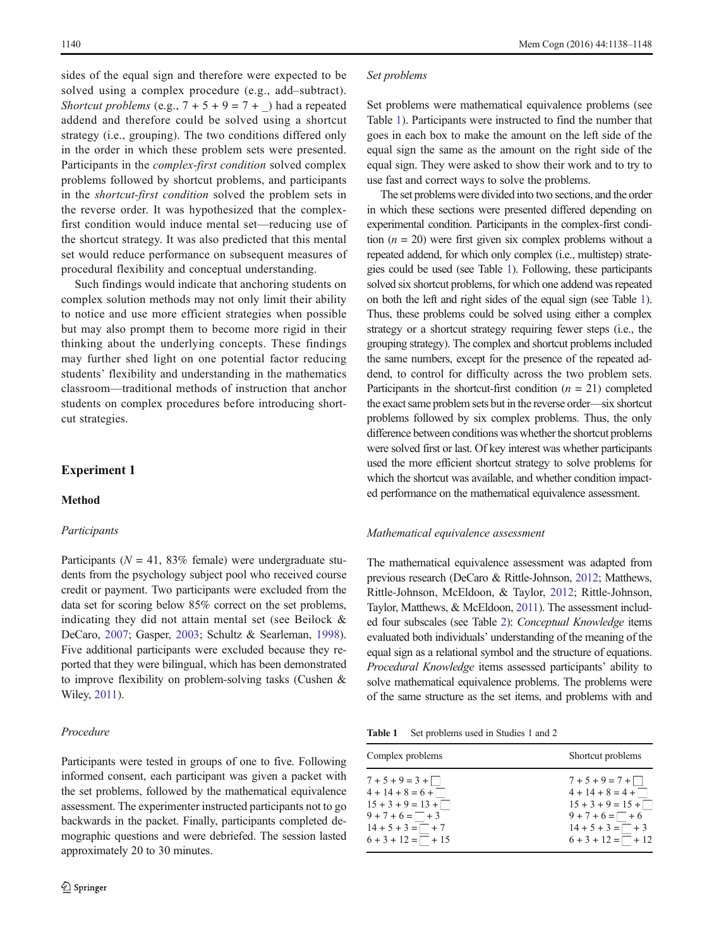<span id="page-2-0"></span>sides of the equal sign and therefore were expected to be solved using a complex procedure (e.g., add–subtract). Shortcut problems (e.g.,  $7 + 5 + 9 = 7 +$ ) had a repeated addend and therefore could be solved using a shortcut strategy (i.e., grouping). The two conditions differed only in the order in which these problem sets were presented. Participants in the complex-first condition solved complex problems followed by shortcut problems, and participants in the shortcut-first condition solved the problem sets in the reverse order. It was hypothesized that the complexfirst condition would induce mental set—reducing use of the shortcut strategy. It was also predicted that this mental set would reduce performance on subsequent measures of procedural flexibility and conceptual understanding.

Such findings would indicate that anchoring students on complex solution methods may not only limit their ability to notice and use more efficient strategies when possible but may also prompt them to become more rigid in their thinking about the underlying concepts. These findings may further shed light on one potential factor reducing students' flexibility and understanding in the mathematics classroom—traditional methods of instruction that anchor students on complex procedures before introducing shortcut strategies.

# Experiment 1

# Method

# Participants

Participants ( $N = 41$ , 83% female) were undergraduate students from the psychology subject pool who received course credit or payment. Two participants were excluded from the data set for scoring below 85% correct on the set problems, indicating they did not attain mental set (see Beilock & DeCaro, [2007](#page-9-0); Gasper, [2003](#page-9-0); Schultz & Searleman, [1998](#page-10-0)). Five additional participants were excluded because they reported that they were bilingual, which has been demonstrated to improve flexibility on problem-solving tasks (Cushen & Wiley, [2011](#page-9-0)).

# Procedure

Participants were tested in groups of one to five. Following informed consent, each participant was given a packet with the set problems, followed by the mathematical equivalence assessment. The experimenter instructed participants not to go backwards in the packet. Finally, participants completed demographic questions and were debriefed. The session lasted approximately 20 to 30 minutes.

#### Set problems

Set problems were mathematical equivalence problems (see Table 1). Participants were instructed to find the number that goes in each box to make the amount on the left side of the equal sign the same as the amount on the right side of the equal sign. They were asked to show their work and to try to use fast and correct ways to solve the problems.

The set problems were divided into two sections, and the order in which these sections were presented differed depending on experimental condition. Participants in the complex-first condition  $(n = 20)$  were first given six complex problems without a repeated addend, for which only complex (i.e., multistep) strategies could be used (see Table 1). Following, these participants solved six shortcut problems, for which one addend was repeated on both the left and right sides of the equal sign (see Table 1). Thus, these problems could be solved using either a complex strategy or a shortcut strategy requiring fewer steps (i.e., the grouping strategy). The complex and shortcut problems included the same numbers, except for the presence of the repeated addend, to control for difficulty across the two problem sets. Participants in the shortcut-first condition  $(n = 21)$  completed the exact same problem sets but in the reverse order—six shortcut problems followed by six complex problems. Thus, the only difference between conditions was whether the shortcut problems were solved first or last. Of key interest was whether participants used the more efficient shortcut strategy to solve problems for which the shortcut was available, and whether condition impacted performance on the mathematical equivalence assessment.

#### Mathematical equivalence assessment

The mathematical equivalence assessment was adapted from previous research (DeCaro & Rittle-Johnson, [2012](#page-9-0); Matthews, Rittle-Johnson, McEldoon, & Taylor, [2012;](#page-9-0) Rittle-Johnson, Taylor, Matthews, & McEldoon, [2011](#page-10-0)). The assessment included four subscales (see Table [2\)](#page-3-0): Conceptual Knowledge items evaluated both individuals' understanding of the meaning of the equal sign as a relational symbol and the structure of equations. Procedural Knowledge items assessed participants' ability to solve mathematical equivalence problems. The problems were of the same structure as the set items, and problems with and

Table 1 Set problems used in Studies 1 and 2

| Complex problems            | Shortcut problems           |
|-----------------------------|-----------------------------|
| $7+5+9=3+$                  | $7+5+9=7+\square$           |
| $4 + 14 + 8 = 6 + \square$  | $4 + 14 + 8 = 4 + \square$  |
| $15 + 3 + 9 = 13 + \square$ | $15 + 3 + 9 = 15 + \square$ |
| $9 + 7 + 6 = \square + 3$   | $9 + 7 + 6 = \square + 6$   |
| $14 + 5 + 3 = \square + 7$  | $14 + 5 + 3 = \square + 3$  |
| $6 + 3 + 12 = \square + 15$ | $6 + 3 + 12 = \square + 12$ |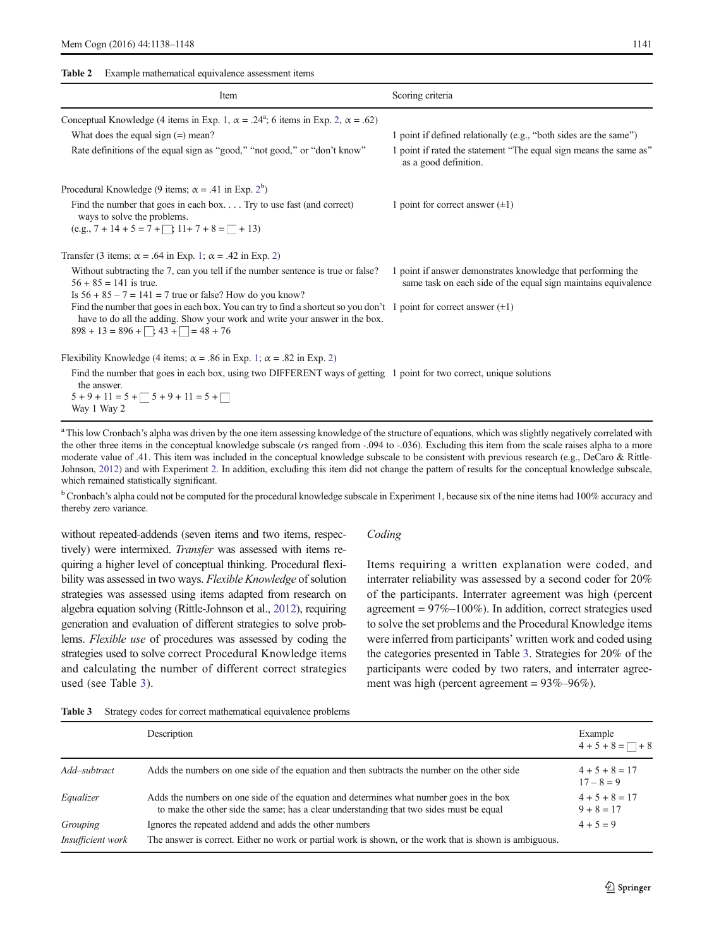<span id="page-3-0"></span>Table 2 Example mathematical equivalence assessment items

| Item                                                                                                                                                                                                                                          | Scoring criteria                                                                                                               |
|-----------------------------------------------------------------------------------------------------------------------------------------------------------------------------------------------------------------------------------------------|--------------------------------------------------------------------------------------------------------------------------------|
| Conceptual Knowledge (4 items in Exp. 1, $\alpha = .24^{\circ}$ ; 6 items in Exp. 2, $\alpha = .62$ )                                                                                                                                         |                                                                                                                                |
| What does the equal sign $(=)$ mean?                                                                                                                                                                                                          | 1 point if defined relationally (e.g., "both sides are the same")                                                              |
| Rate definitions of the equal sign as "good," "not good," or "don't know"                                                                                                                                                                     | 1 point if rated the statement "The equal sign means the same as"<br>as a good definition.                                     |
| Procedural Knowledge (9 items; $\alpha = .41$ in Exp. 2 <sup>b</sup> )                                                                                                                                                                        |                                                                                                                                |
| Find the number that goes in each box Try to use fast (and correct)<br>ways to solve the problems.<br>$(e.g., 7 + 14 + 5 = 7 + 11 + 7 + 8 = 1 + 13)$                                                                                          | 1 point for correct answer $(\pm 1)$                                                                                           |
|                                                                                                                                                                                                                                               |                                                                                                                                |
| Transfer (3 items; $\alpha$ = .64 in Exp. 1; $\alpha$ = .42 in Exp. 2)                                                                                                                                                                        |                                                                                                                                |
| Without subtracting the 7, can you tell if the number sentence is true or false?<br>$56 + 85 = 141$ is true.<br>Is $56 + 85 - 7 = 141 = 7$ true or false? How do you know?                                                                    | 1 point if answer demonstrates knowledge that performing the<br>same task on each side of the equal sign maintains equivalence |
| Find the number that goes in each box. You can try to find a shortcut so you don't 1 point for correct answer $(\pm 1)$<br>have to do all the adding. Show your work and write your answer in the box.<br>$898 + 13 = 896 + 33 + 1 = 48 + 76$ |                                                                                                                                |
| Flexibility Knowledge (4 items; $\alpha = .86$ in Exp. 1; $\alpha = .82$ in Exp. 2)                                                                                                                                                           |                                                                                                                                |
| Find the number that goes in each box, using two DIFFERENT ways of getting 1 point for two correct, unique solutions<br>the answer.                                                                                                           |                                                                                                                                |
| $5 + 9 + 11 = 5 + 5 + 9 + 11 = 5 + 1$<br>Way 1 Way 2                                                                                                                                                                                          |                                                                                                                                |

<sup>a</sup> This low Cronbach's alpha was driven by the one item assessing knowledge of the structure of equations, which was slightly negatively correlated with the other three items in the conceptual knowledge subscale (rs ranged from -.094 to -.036). Excluding this item from the scale raises alpha to a more moderate value of .41. This item was included in the conceptual knowledge subscale to be consistent with previous research (e.g., DeCaro & Rittle-Johnson, [2012](#page-9-0)) and with Experiment [2](#page-4-0). In addition, excluding this item did not change the pattern of results for the conceptual knowledge subscale, which remained statistically significant.

<sup>b</sup> Cronbach's alpha could not be computed for the procedural knowledge subscale in Experiment [1,](#page-2-0) because six of the nine items had 100% accuracy and thereby zero variance.

without repeated-addends (seven items and two items, respectively) were intermixed. *Transfer* was assessed with items requiring a higher level of conceptual thinking. Procedural flexibility was assessed in two ways. Flexible Knowledge of solution strategies was assessed using items adapted from research on algebra equation solving (Rittle-Johnson et al., [2012](#page-9-0)), requiring generation and evaluation of different strategies to solve problems. Flexible use of procedures was assessed by coding the strategies used to solve correct Procedural Knowledge items and calculating the number of different correct strategies used (see Table 3).

#### Coding

Items requiring a written explanation were coded, and interrater reliability was assessed by a second coder for 20% of the participants. Interrater agreement was high (percent agreement =  $97\%$ -100%). In addition, correct strategies used to solve the set problems and the Procedural Knowledge items were inferred from participants' written work and coded using the categories presented in Table 3. Strategies for 20% of the participants were coded by two raters, and interrater agreement was high (percent agreement = 93%–96%).

|  | Table 3 |  |  |  | Strategy codes for correct mathematical equivalence problems |  |  |
|--|---------|--|--|--|--------------------------------------------------------------|--|--|
|--|---------|--|--|--|--------------------------------------------------------------|--|--|

|                               | Description                                                                                                                                                                        | Example<br>$4+5+8=\square+8$     |
|-------------------------------|------------------------------------------------------------------------------------------------------------------------------------------------------------------------------------|----------------------------------|
| Add-subtract                  | Adds the numbers on one side of the equation and then subtracts the number on the other side                                                                                       | $4 + 5 + 8 = 17$<br>$17 - 8 = 9$ |
| Equalizer                     | Adds the numbers on one side of the equation and determines what number goes in the box<br>to make the other side the same; has a clear understanding that two sides must be equal | $4+5+8=17$<br>$9 + 8 = 17$       |
| Grouping<br>Insufficient work | Ignores the repeated addend and adds the other numbers<br>The answer is correct. Either no work or partial work is shown, or the work that is shown is ambiguous.                  | $4 + 5 = 9$                      |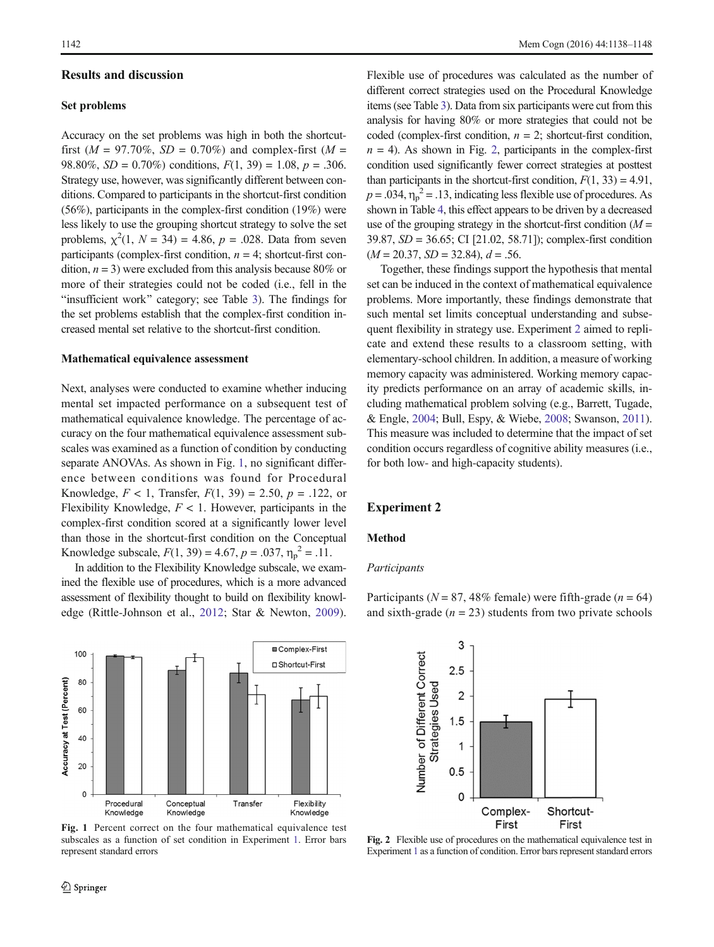## <span id="page-4-0"></span>Results and discussion

#### Set problems

Accuracy on the set problems was high in both the shortcutfirst ( $M = 97.70\%$ ,  $SD = 0.70\%$ ) and complex-first ( $M =$ 98.80%,  $SD = 0.70\%$ ) conditions,  $F(1, 39) = 1.08$ ,  $p = .306$ . Strategy use, however, was significantly different between conditions. Compared to participants in the shortcut-first condition (56%), participants in the complex-first condition (19%) were less likely to use the grouping shortcut strategy to solve the set problems,  $\chi^2(1, N = 34) = 4.86$ ,  $p = .028$ . Data from seven participants (complex-first condition,  $n = 4$ ; shortcut-first condition,  $n = 3$ ) were excluded from this analysis because 80% or more of their strategies could not be coded (i.e., fell in the "insufficient work" category; see Table [3](#page-3-0)). The findings for the set problems establish that the complex-first condition increased mental set relative to the shortcut-first condition.

#### Mathematical equivalence assessment

Next, analyses were conducted to examine whether inducing mental set impacted performance on a subsequent test of mathematical equivalence knowledge. The percentage of accuracy on the four mathematical equivalence assessment subscales was examined as a function of condition by conducting separate ANOVAs. As shown in Fig. 1, no significant difference between conditions was found for Procedural Knowledge,  $F < 1$ , Transfer,  $F(1, 39) = 2.50$ ,  $p = .122$ , or Flexibility Knowledge,  $F < 1$ . However, participants in the complex-first condition scored at a significantly lower level than those in the shortcut-first condition on the Conceptual Knowledge subscale,  $F(1, 39) = 4.67$ ,  $p = .037$ ,  $\eta_p^2 = .11$ .

In addition to the Flexibility Knowledge subscale, we examined the flexible use of procedures, which is a more advanced assessment of flexibility thought to build on flexibility knowledge (Rittle-Johnson et al., [2012;](#page-9-0) Star & Newton, [2009](#page-10-0)).

Flexible use of procedures was calculated as the number of different correct strategies used on the Procedural Knowledge items (see Table [3](#page-3-0)). Data from six participants were cut from this analysis for having 80% or more strategies that could not be coded (complex-first condition,  $n = 2$ ; shortcut-first condition,  $n = 4$ ). As shown in Fig. 2, participants in the complex-first condition used significantly fewer correct strategies at posttest than participants in the shortcut-first condition,  $F(1, 33) = 4.91$ ,  $p = .034$ ,  $\eta_p^2 = .13$ , indicating less flexible use of procedures. As shown in Table [4,](#page-5-0) this effect appears to be driven by a decreased use of the grouping strategy in the shortcut-first condition  $(M =$ 39.87, SD = 36.65; CI [21.02, 58.71]); complex-first condition  $(M = 20.37, SD = 32.84), d = .56.$ 

Together, these findings support the hypothesis that mental set can be induced in the context of mathematical equivalence problems. More importantly, these findings demonstrate that such mental set limits conceptual understanding and subsequent flexibility in strategy use. Experiment 2 aimed to replicate and extend these results to a classroom setting, with elementary-school children. In addition, a measure of working memory capacity was administered. Working memory capacity predicts performance on an array of academic skills, including mathematical problem solving (e.g., Barrett, Tugade, & Engle, [2004;](#page-9-0) Bull, Espy, & Wiebe, [2008;](#page-9-0) Swanson, [2011\)](#page-10-0). This measure was included to determine that the impact of set condition occurs regardless of cognitive ability measures (i.e., for both low- and high-capacity students).

# Experiment 2

#### Method

# Participants

Participants ( $N = 87,48\%$  female) were fifth-grade ( $n = 64$ ) and sixth-grade  $(n = 23)$  students from two private schools



Fig. 1 Percent correct on the four mathematical equivalence test subscales as a function of set condition in Experiment [1.](#page-2-0) Error bars represent standard errors



Fig. 2 Flexible use of procedures on the mathematical equivalence test in Experiment [1](#page-2-0) as a function of condition. Error bars represent standard errors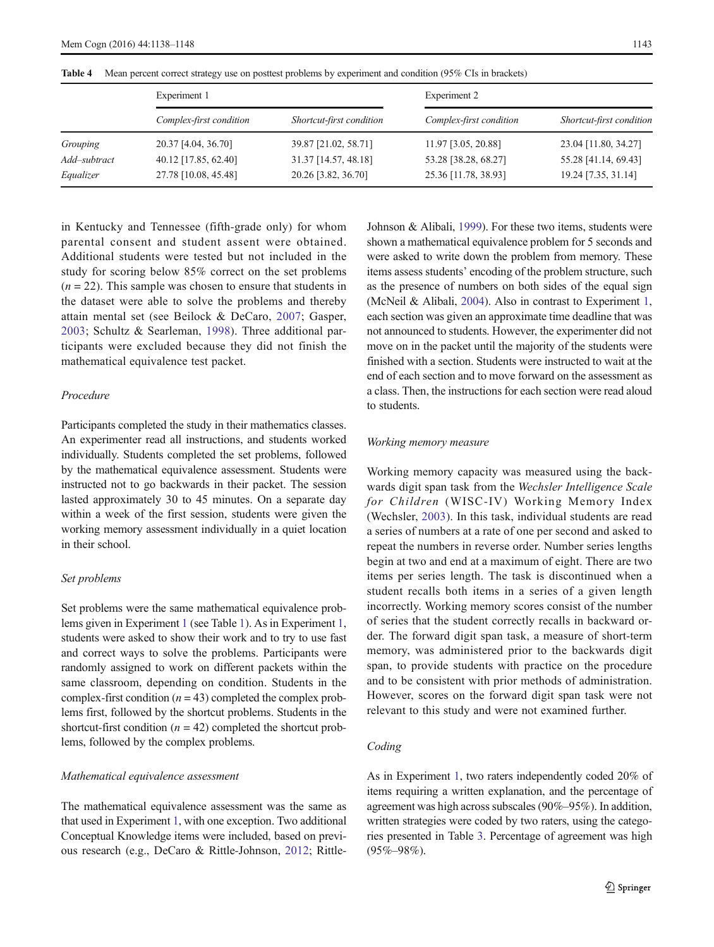|              | Experiment 1            |                          | Experiment 2            |                          |  |
|--------------|-------------------------|--------------------------|-------------------------|--------------------------|--|
|              | Complex-first condition | Shortcut-first condition | Complex-first condition | Shortcut-first condition |  |
| Grouping     | 20.37 [4.04, 36.70]     | 39.87 [21.02, 58.71]     | 11.97 [3.05, 20.88]     | 23.04 [11.80, 34.27]     |  |
| Add-subtract | 40.12 [17.85, 62.40]    | 31.37 [14.57, 48.18]     | 53.28 [38.28, 68.27]    | 55.28 [41.14, 69.43]     |  |
| Equalizer    | 27.78 [10.08, 45.48]    | 20.26 [3.82, 36.70]      | 25.36 [11.78, 38.93]    | 19.24 [7.35, 31.14]      |  |

<span id="page-5-0"></span>Table 4 Mean percent correct strategy use on posttest problems by experiment and condition (95% CIs in brackets)

in Kentucky and Tennessee (fifth-grade only) for whom parental consent and student assent were obtained. Additional students were tested but not included in the study for scoring below 85% correct on the set problems  $(n = 22)$ . This sample was chosen to ensure that students in the dataset were able to solve the problems and thereby attain mental set (see Beilock & DeCaro, [2007](#page-9-0); Gasper, [2003](#page-9-0); Schultz & Searleman, [1998](#page-10-0)). Three additional participants were excluded because they did not finish the mathematical equivalence test packet.

# Procedure

Participants completed the study in their mathematics classes. An experimenter read all instructions, and students worked individually. Students completed the set problems, followed by the mathematical equivalence assessment. Students were instructed not to go backwards in their packet. The session lasted approximately 30 to 45 minutes. On a separate day within a week of the first session, students were given the working memory assessment individually in a quiet location in their school.

# Set problems

Set problems were the same mathematical equivalence problems given in Experiment [1](#page-2-0) (see Table [1](#page-2-0)). As in Experiment [1,](#page-2-0) students were asked to show their work and to try to use fast and correct ways to solve the problems. Participants were randomly assigned to work on different packets within the same classroom, depending on condition. Students in the complex-first condition  $(n = 43)$  completed the complex problems first, followed by the shortcut problems. Students in the shortcut-first condition  $(n = 42)$  completed the shortcut problems, followed by the complex problems.

# Mathematical equivalence assessment

The mathematical equivalence assessment was the same as that used in Experiment [1](#page-2-0), with one exception. Two additional Conceptual Knowledge items were included, based on previous research (e.g., DeCaro & Rittle-Johnson, [2012;](#page-9-0) RittleJohnson & Alibali, [1999\)](#page-9-0). For these two items, students were shown a mathematical equivalence problem for 5 seconds and were asked to write down the problem from memory. These items assess students' encoding of the problem structure, such as the presence of numbers on both sides of the equal sign (McNeil & Alibali, [2004](#page-9-0)). Also in contrast to Experiment [1,](#page-2-0) each section was given an approximate time deadline that was not announced to students. However, the experimenter did not move on in the packet until the majority of the students were finished with a section. Students were instructed to wait at the end of each section and to move forward on the assessment as a class. Then, the instructions for each section were read aloud to students.

## Working memory measure

Working memory capacity was measured using the backwards digit span task from the Wechsler Intelligence Scale for Children (WISC-IV) Working Memory Index (Wechsler, [2003](#page-10-0)). In this task, individual students are read a series of numbers at a rate of one per second and asked to repeat the numbers in reverse order. Number series lengths begin at two and end at a maximum of eight. There are two items per series length. The task is discontinued when a student recalls both items in a series of a given length incorrectly. Working memory scores consist of the number of series that the student correctly recalls in backward order. The forward digit span task, a measure of short-term memory, was administered prior to the backwards digit span, to provide students with practice on the procedure and to be consistent with prior methods of administration. However, scores on the forward digit span task were not relevant to this study and were not examined further.

# Coding

As in Experiment [1,](#page-2-0) two raters independently coded 20% of items requiring a written explanation, and the percentage of agreement was high across subscales (90%–95%). In addition, written strategies were coded by two raters, using the categories presented in Table [3](#page-3-0). Percentage of agreement was high  $(95\% - 98\%)$ .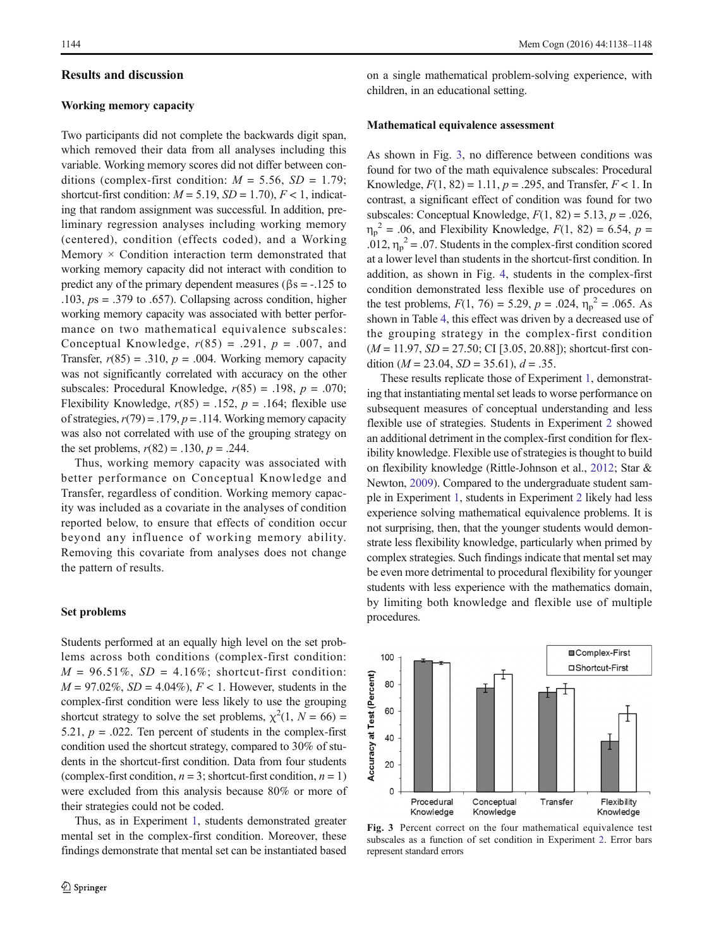# Results and discussion

## Working memory capacity

Two participants did not complete the backwards digit span, which removed their data from all analyses including this variable. Working memory scores did not differ between conditions (complex-first condition:  $M = 5.56$ ,  $SD = 1.79$ ; shortcut-first condition:  $M = 5.19$ ,  $SD = 1.70$ ),  $F < 1$ , indicating that random assignment was successful. In addition, preliminary regression analyses including working memory (centered), condition (effects coded), and a Working Memory  $\times$  Condition interaction term demonstrated that working memory capacity did not interact with condition to predict any of the primary dependent measures ( $\beta$ s = -.125 to .103,  $ps = .379$  to .657). Collapsing across condition, higher working memory capacity was associated with better performance on two mathematical equivalence subscales: Conceptual Knowledge,  $r(85) = .291$ ,  $p = .007$ , and Transfer,  $r(85) = .310$ ,  $p = .004$ . Working memory capacity was not significantly correlated with accuracy on the other subscales: Procedural Knowledge,  $r(85) = .198$ ,  $p = .070$ ; Flexibility Knowledge,  $r(85) = .152$ ,  $p = .164$ ; flexible use of strategies,  $r(79) = .179$ ,  $p = .114$ . Working memory capacity was also not correlated with use of the grouping strategy on the set problems,  $r(82) = .130$ ,  $p = .244$ .

Thus, working memory capacity was associated with better performance on Conceptual Knowledge and Transfer, regardless of condition. Working memory capacity was included as a covariate in the analyses of condition reported below, to ensure that effects of condition occur beyond any influence of working memory ability. Removing this covariate from analyses does not change the pattern of results.

# Set problems

Students performed at an equally high level on the set problems across both conditions (complex-first condition:  $M = 96.51\%$ ,  $SD = 4.16\%$ ; shortcut-first condition:  $M = 97.02\%, SD = 4.04\%, F < 1$ . However, students in the complex-first condition were less likely to use the grouping shortcut strategy to solve the set problems,  $\chi^2(1, N = 66)$  = 5.21,  $p = .022$ . Ten percent of students in the complex-first condition used the shortcut strategy, compared to 30% of students in the shortcut-first condition. Data from four students (complex-first condition,  $n = 3$ ; shortcut-first condition,  $n = 1$ ) were excluded from this analysis because 80% or more of their strategies could not be coded.

Thus, as in Experiment [1,](#page-2-0) students demonstrated greater mental set in the complex-first condition. Moreover, these findings demonstrate that mental set can be instantiated based on a single mathematical problem-solving experience, with children, in an educational setting.

#### Mathematical equivalence assessment

As shown in Fig. 3, no difference between conditions was found for two of the math equivalence subscales: Procedural Knowledge,  $F(1, 82) = 1.11$ ,  $p = .295$ , and Transfer,  $F < 1$ . In contrast, a significant effect of condition was found for two subscales: Conceptual Knowledge,  $F(1, 82) = 5.13$ ,  $p = .026$ ,  $\eta_p^2$  = .06, and Flexibility Knowledge,  $F(1, 82)$  = 6.54,  $p$  = .012,  $\eta_p^2$  = .07. Students in the complex-first condition scored at a lower level than students in the shortcut-first condition. In addition, as shown in Fig. [4](#page-7-0), students in the complex-first condition demonstrated less flexible use of procedures on the test problems,  $F(1, 76) = 5.29$ ,  $p = .024$ ,  $\eta_p^2 = .065$ . As shown in Table [4](#page-5-0), this effect was driven by a decreased use of the grouping strategy in the complex-first condition  $(M = 11.97, SD = 27.50; CI [3.05, 20.88])$ ; shortcut-first condition ( $M = 23.04$ ,  $SD = 35.61$ ),  $d = .35$ .

These results replicate those of Experiment [1](#page-2-0), demonstrating that instantiating mental set leads to worse performance on subsequent measures of conceptual understanding and less flexible use of strategies. Students in Experiment [2](#page-4-0) showed an additional detriment in the complex-first condition for flexibility knowledge. Flexible use of strategies is thought to build on flexibility knowledge (Rittle-Johnson et al., [2012](#page-9-0); Star & Newton, [2009\)](#page-10-0). Compared to the undergraduate student sample in Experiment [1](#page-2-0), students in Experiment [2](#page-4-0) likely had less experience solving mathematical equivalence problems. It is not surprising, then, that the younger students would demonstrate less flexibility knowledge, particularly when primed by complex strategies. Such findings indicate that mental set may be even more detrimental to procedural flexibility for younger students with less experience with the mathematics domain, by limiting both knowledge and flexible use of multiple procedures.



Fig. 3 Percent correct on the four mathematical equivalence test subscales as a function of set condition in Experiment [2](#page-4-0). Error bars represent standard errors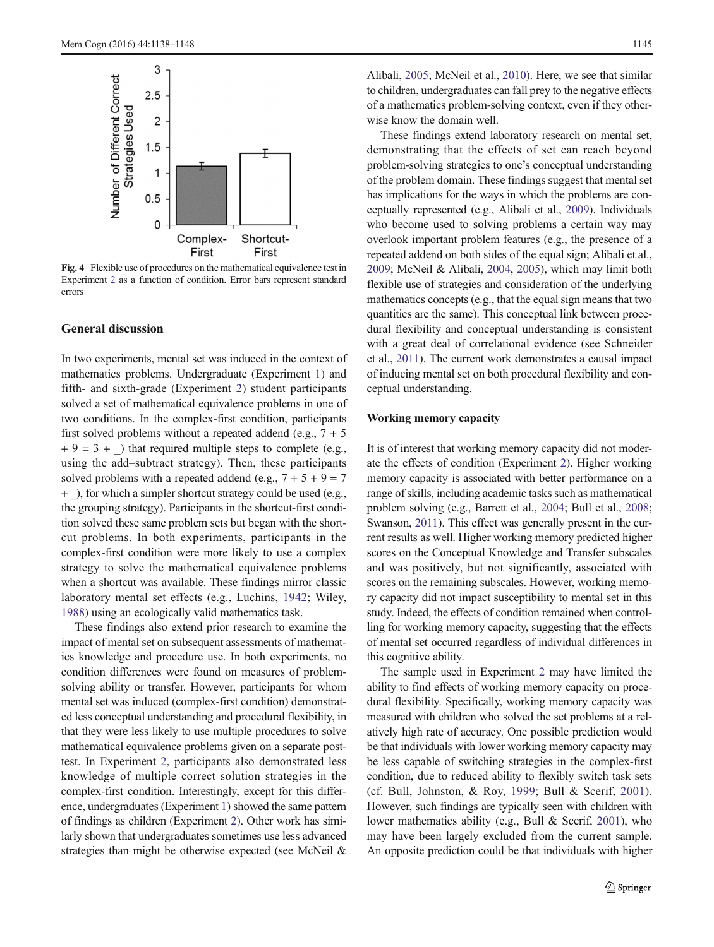<span id="page-7-0"></span>

Fig. 4 Flexible use of procedures on the mathematical equivalence test in Experiment [2](#page-4-0) as a function of condition. Error bars represent standard errors

# General discussion

In two experiments, mental set was induced in the context of mathematics problems. Undergraduate (Experiment [1\)](#page-2-0) and fifth- and sixth-grade (Experiment [2](#page-4-0)) student participants solved a set of mathematical equivalence problems in one of two conditions. In the complex-first condition, participants first solved problems without a repeated addend (e.g.,  $7 + 5$ )  $+ 9 = 3 +$ ) that required multiple steps to complete (e.g., using the add–subtract strategy). Then, these participants solved problems with a repeated addend (e.g.,  $7 + 5 + 9 = 7$ ) + \_), for which a simpler shortcut strategy could be used (e.g., the grouping strategy). Participants in the shortcut-first condition solved these same problem sets but began with the shortcut problems. In both experiments, participants in the complex-first condition were more likely to use a complex strategy to solve the mathematical equivalence problems when a shortcut was available. These findings mirror classic laboratory mental set effects (e.g., Luchins, [1942](#page-9-0); Wiley, [1988\)](#page-10-0) using an ecologically valid mathematics task.

These findings also extend prior research to examine the impact of mental set on subsequent assessments of mathematics knowledge and procedure use. In both experiments, no condition differences were found on measures of problemsolving ability or transfer. However, participants for whom mental set was induced (complex-first condition) demonstrated less conceptual understanding and procedural flexibility, in that they were less likely to use multiple procedures to solve mathematical equivalence problems given on a separate posttest. In Experiment [2](#page-4-0), participants also demonstrated less knowledge of multiple correct solution strategies in the complex-first condition. Interestingly, except for this difference, undergraduates (Experiment [1](#page-2-0)) showed the same pattern of findings as children (Experiment [2\)](#page-4-0). Other work has similarly shown that undergraduates sometimes use less advanced strategies than might be otherwise expected (see McNeil & Alibali, [2005;](#page-9-0) McNeil et al., [2010\)](#page-9-0). Here, we see that similar to children, undergraduates can fall prey to the negative effects of a mathematics problem-solving context, even if they otherwise know the domain well.

These findings extend laboratory research on mental set, demonstrating that the effects of set can reach beyond problem-solving strategies to one's conceptual understanding of the problem domain. These findings suggest that mental set has implications for the ways in which the problems are conceptually represented (e.g., Alibali et al., [2009\)](#page-9-0). Individuals who become used to solving problems a certain way may overlook important problem features (e.g., the presence of a repeated addend on both sides of the equal sign; Alibali et al., [2009;](#page-9-0) McNeil & Alibali, [2004,](#page-9-0) [2005\)](#page-9-0), which may limit both flexible use of strategies and consideration of the underlying mathematics concepts (e.g., that the equal sign means that two quantities are the same). This conceptual link between procedural flexibility and conceptual understanding is consistent with a great deal of correlational evidence (see Schneider et al., [2011\)](#page-10-0). The current work demonstrates a causal impact of inducing mental set on both procedural flexibility and conceptual understanding.

#### Working memory capacity

It is of interest that working memory capacity did not moderate the effects of condition (Experiment [2\)](#page-4-0). Higher working memory capacity is associated with better performance on a range of skills, including academic tasks such as mathematical problem solving (e.g., Barrett et al., [2004;](#page-9-0) Bull et al., [2008;](#page-9-0) Swanson, [2011\)](#page-10-0). This effect was generally present in the current results as well. Higher working memory predicted higher scores on the Conceptual Knowledge and Transfer subscales and was positively, but not significantly, associated with scores on the remaining subscales. However, working memory capacity did not impact susceptibility to mental set in this study. Indeed, the effects of condition remained when controlling for working memory capacity, suggesting that the effects of mental set occurred regardless of individual differences in this cognitive ability.

The sample used in Experiment [2](#page-4-0) may have limited the ability to find effects of working memory capacity on procedural flexibility. Specifically, working memory capacity was measured with children who solved the set problems at a relatively high rate of accuracy. One possible prediction would be that individuals with lower working memory capacity may be less capable of switching strategies in the complex-first condition, due to reduced ability to flexibly switch task sets (cf. Bull, Johnston, & Roy, [1999;](#page-9-0) Bull & Scerif, [2001](#page-9-0)). However, such findings are typically seen with children with lower mathematics ability (e.g., Bull & Scerif, [2001\)](#page-9-0), who may have been largely excluded from the current sample. An opposite prediction could be that individuals with higher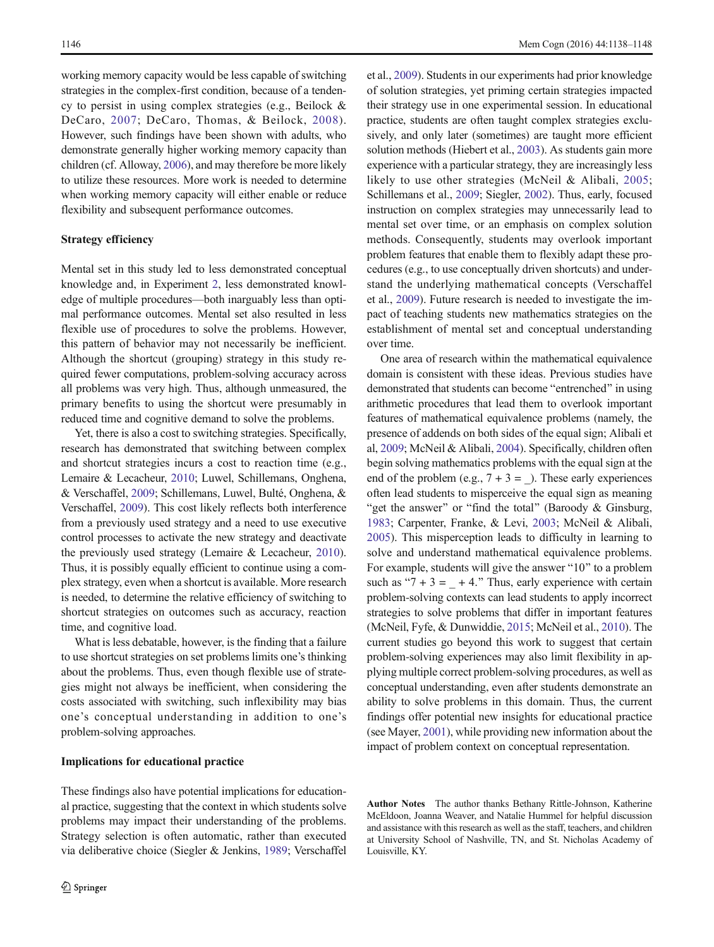working memory capacity would be less capable of switching strategies in the complex-first condition, because of a tendency to persist in using complex strategies (e.g., Beilock & DeCaro, [2007;](#page-9-0) DeCaro, Thomas, & Beilock, [2008\)](#page-9-0). However, such findings have been shown with adults, who demonstrate generally higher working memory capacity than children (cf. Alloway, [2006\)](#page-9-0), and may therefore be more likely to utilize these resources. More work is needed to determine when working memory capacity will either enable or reduce flexibility and subsequent performance outcomes.

# Strategy efficiency

Mental set in this study led to less demonstrated conceptual knowledge and, in Experiment [2,](#page-4-0) less demonstrated knowledge of multiple procedures—both inarguably less than optimal performance outcomes. Mental set also resulted in less flexible use of procedures to solve the problems. However, this pattern of behavior may not necessarily be inefficient. Although the shortcut (grouping) strategy in this study required fewer computations, problem-solving accuracy across all problems was very high. Thus, although unmeasured, the primary benefits to using the shortcut were presumably in reduced time and cognitive demand to solve the problems.

Yet, there is also a cost to switching strategies. Specifically, research has demonstrated that switching between complex and shortcut strategies incurs a cost to reaction time (e.g., Lemaire & Lecacheur, [2010](#page-9-0); Luwel, Schillemans, Onghena, & Verschaffel, [2009](#page-9-0); Schillemans, Luwel, Bulté, Onghena, & Verschaffel, [2009\)](#page-10-0). This cost likely reflects both interference from a previously used strategy and a need to use executive control processes to activate the new strategy and deactivate the previously used strategy (Lemaire & Lecacheur, [2010](#page-9-0)). Thus, it is possibly equally efficient to continue using a complex strategy, even when a shortcut is available. More research is needed, to determine the relative efficiency of switching to shortcut strategies on outcomes such as accuracy, reaction time, and cognitive load.

What is less debatable, however, is the finding that a failure to use shortcut strategies on set problems limits one's thinking about the problems. Thus, even though flexible use of strategies might not always be inefficient, when considering the costs associated with switching, such inflexibility may bias one's conceptual understanding in addition to one's problem-solving approaches.

### Implications for educational practice

These findings also have potential implications for educational practice, suggesting that the context in which students solve problems may impact their understanding of the problems. Strategy selection is often automatic, rather than executed via deliberative choice (Siegler & Jenkins, [1989;](#page-10-0) Verschaffel et al., [2009](#page-10-0)). Students in our experiments had prior knowledge of solution strategies, yet priming certain strategies impacted their strategy use in one experimental session. In educational practice, students are often taught complex strategies exclusively, and only later (sometimes) are taught more efficient solution methods (Hiebert et al., [2003\)](#page-9-0). As students gain more experience with a particular strategy, they are increasingly less likely to use other strategies (McNeil & Alibali, [2005;](#page-9-0) Schillemans et al., [2009](#page-10-0); Siegler, [2002](#page-10-0)). Thus, early, focused instruction on complex strategies may unnecessarily lead to mental set over time, or an emphasis on complex solution methods. Consequently, students may overlook important problem features that enable them to flexibly adapt these procedures (e.g., to use conceptually driven shortcuts) and understand the underlying mathematical concepts (Verschaffel et al., [2009](#page-10-0)). Future research is needed to investigate the impact of teaching students new mathematics strategies on the establishment of mental set and conceptual understanding over time.

One area of research within the mathematical equivalence domain is consistent with these ideas. Previous studies have demonstrated that students can become "entrenched" in using arithmetic procedures that lead them to overlook important features of mathematical equivalence problems (namely, the presence of addends on both sides of the equal sign; Alibali et al, [2009](#page-9-0); McNeil & Alibali, [2004\)](#page-9-0). Specifically, children often begin solving mathematics problems with the equal sign at the end of the problem (e.g.,  $7 + 3 = 3$ ). These early experiences often lead students to misperceive the equal sign as meaning "get the answer" or "find the total" (Baroody  $&$  Ginsburg, [1983;](#page-9-0) Carpenter, Franke, & Levi, [2003;](#page-9-0) McNeil & Alibali, [2005\)](#page-9-0). This misperception leads to difficulty in learning to solve and understand mathematical equivalence problems. For example, students will give the answer "10" to a problem such as " $7 + 3 = +4$ ." Thus, early experience with certain problem-solving contexts can lead students to apply incorrect strategies to solve problems that differ in important features (McNeil, Fyfe, & Dunwiddie, [2015;](#page-9-0) McNeil et al., [2010](#page-9-0)). The current studies go beyond this work to suggest that certain problem-solving experiences may also limit flexibility in applying multiple correct problem-solving procedures, as well as conceptual understanding, even after students demonstrate an ability to solve problems in this domain. Thus, the current findings offer potential new insights for educational practice (see Mayer, [2001](#page-9-0)), while providing new information about the impact of problem context on conceptual representation.

Author Notes The author thanks Bethany Rittle-Johnson, Katherine McEldoon, Joanna Weaver, and Natalie Hummel for helpful discussion and assistance with this research as well as the staff, teachers, and children at University School of Nashville, TN, and St. Nicholas Academy of Louisville, KY.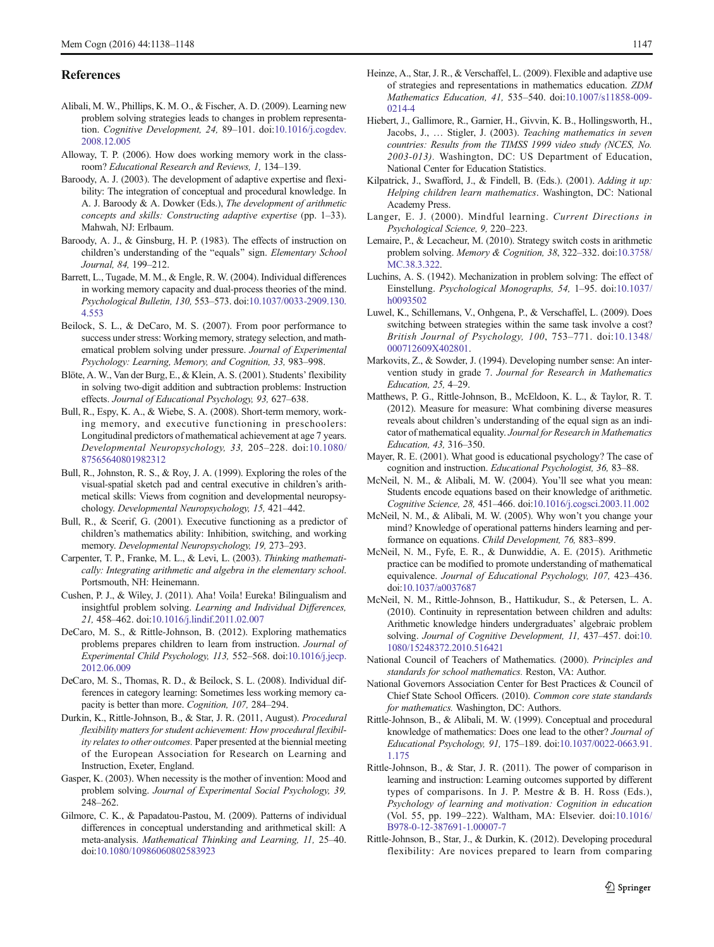# <span id="page-9-0"></span>References

- Alibali, M. W., Phillips, K. M. O., & Fischer, A. D. (2009). Learning new problem solving strategies leads to changes in problem representa-tion. Cognitive Development, 24, 89-101. doi[:10.1016/j.cogdev.](http://dx.doi.org/10.1016/j.cogdev.2008.12.005) [2008.12.005](http://dx.doi.org/10.1016/j.cogdev.2008.12.005)
- Alloway, T. P. (2006). How does working memory work in the classroom? Educational Research and Reviews, 1, 134–139.
- Baroody, A. J. (2003). The development of adaptive expertise and flexibility: The integration of conceptual and procedural knowledge. In A. J. Baroody & A. Dowker (Eds.), The development of arithmetic concepts and skills: Constructing adaptive expertise (pp. 1–33). Mahwah, NJ: Erlbaum.
- Baroody, A. J., & Ginsburg, H. P. (1983). The effects of instruction on children's understanding of the "equals" sign. Elementary School Journal, 84, 199–212.
- Barrett, L., Tugade, M. M., & Engle, R. W. (2004). Individual differences in working memory capacity and dual-process theories of the mind. Psychological Bulletin, 130, 553–573. doi[:10.1037/0033-2909.130.](http://dx.doi.org/10.1037/0033-2909.130.4.553) [4.553](http://dx.doi.org/10.1037/0033-2909.130.4.553)
- Beilock, S. L., & DeCaro, M. S. (2007). From poor performance to success under stress: Working memory, strategy selection, and mathematical problem solving under pressure. Journal of Experimental Psychology: Learning, Memory, and Cognition, 33, 983–998.
- Blöte, A. W., Van der Burg, E., & Klein, A. S. (2001). Students' flexibility in solving two-digit addition and subtraction problems: Instruction effects. Journal of Educational Psychology, 93, 627–638.
- Bull, R., Espy, K. A., & Wiebe, S. A. (2008). Short-term memory, working memory, and executive functioning in preschoolers: Longitudinal predictors of mathematical achievement at age 7 years. Developmental Neuropsychology, 33, 205–228. doi:[10.1080/](http://dx.doi.org/10.1080/87565640801982312) [87565640801982312](http://dx.doi.org/10.1080/87565640801982312)
- Bull, R., Johnston, R. S., & Roy, J. A. (1999). Exploring the roles of the visual-spatial sketch pad and central executive in children's arithmetical skills: Views from cognition and developmental neuropsychology. Developmental Neuropsychology, 15, 421–442.
- Bull, R., & Scerif, G. (2001). Executive functioning as a predictor of children's mathematics ability: Inhibition, switching, and working memory. Developmental Neuropsychology, 19, 273–293.
- Carpenter, T. P., Franke, M. L., & Levi, L. (2003). Thinking mathematically: Integrating arithmetic and algebra in the elementary school. Portsmouth, NH: Heinemann.
- Cushen, P. J., & Wiley, J. (2011). Aha! Voila! Eureka! Bilingualism and insightful problem solving. Learning and Individual Differences, 21, 458–462. doi[:10.1016/j.lindif.2011.02.007](http://dx.doi.org/10.1016/j.lindif.2011.02.007)
- DeCaro, M. S., & Rittle-Johnson, B. (2012). Exploring mathematics problems prepares children to learn from instruction. Journal of Experimental Child Psychology, 113, 552–568. doi[:10.1016/j.jecp.](http://dx.doi.org/10.1016/j.jecp.2012.06.009) [2012.06.009](http://dx.doi.org/10.1016/j.jecp.2012.06.009)
- DeCaro, M. S., Thomas, R. D., & Beilock, S. L. (2008). Individual differences in category learning: Sometimes less working memory capacity is better than more. Cognition, 107, 284–294.
- Durkin, K., Rittle-Johnson, B., & Star, J. R. (2011, August). Procedural flexibility matters for student achievement: How procedural flexibility relates to other outcomes. Paper presented at the biennial meeting of the European Association for Research on Learning and Instruction, Exeter, England.
- Gasper, K. (2003). When necessity is the mother of invention: Mood and problem solving. Journal of Experimental Social Psychology, 39, 248–262.
- Gilmore, C. K., & Papadatou-Pastou, M. (2009). Patterns of individual differences in conceptual understanding and arithmetical skill: A meta-analysis. Mathematical Thinking and Learning, 11, 25–40. doi:[10.1080/10986060802583923](http://dx.doi.org/10.1080/10986060802583923)
- Heinze, A., Star, J. R., & Verschaffel, L. (2009). Flexible and adaptive use of strategies and representations in mathematics education. ZDM Mathematics Education, 41, 535–540. doi:[10.1007/s11858-009-](http://dx.doi.org/10.1007/s11858-009-0214-4) [0214-4](http://dx.doi.org/10.1007/s11858-009-0214-4)
- Hiebert, J., Gallimore, R., Garnier, H., Givvin, K. B., Hollingsworth, H., Jacobs, J., … Stigler, J. (2003). Teaching mathematics in seven countries: Results from the TIMSS 1999 video study (NCES, No. 2003-013). Washington, DC: US Department of Education, National Center for Education Statistics.
- Kilpatrick, J., Swafford, J., & Findell, B. (Eds.). (2001). Adding it up: Helping children learn mathematics. Washington, DC: National Academy Press.
- Langer, E. J. (2000). Mindful learning. Current Directions in Psychological Science, 9, 220–223.
- Lemaire, P., & Lecacheur, M. (2010). Strategy switch costs in arithmetic problem solving. Memory & Cognition, 38, 322–332. doi[:10.3758/](http://dx.doi.org/10.3758/MC.38.3.322) [MC.38.3.322.](http://dx.doi.org/10.3758/MC.38.3.322)
- Luchins, A. S. (1942). Mechanization in problem solving: The effect of Einstellung. Psychological Monographs, 54, 1–95. doi[:10.1037/](http://dx.doi.org/10.1037/h0093502) [h0093502](http://dx.doi.org/10.1037/h0093502)
- Luwel, K., Schillemans, V., Onhgena, P., & Verschaffel, L. (2009). Does switching between strategies within the same task involve a cost? British Journal of Psychology, 100, 753–771. doi[:10.1348/](http://dx.doi.org/10.1348/000712609X402801) [000712609X402801](http://dx.doi.org/10.1348/000712609X402801).
- Markovits, Z., & Sowder, J. (1994). Developing number sense: An intervention study in grade 7. Journal for Research in Mathematics Education, 25, 4–29.
- Matthews, P. G., Rittle-Johnson, B., McEldoon, K. L., & Taylor, R. T. (2012). Measure for measure: What combining diverse measures reveals about children's understanding of the equal sign as an indicator of mathematical equality. Journal for Research in Mathematics Education, 43, 316–350.
- Mayer, R. E. (2001). What good is educational psychology? The case of cognition and instruction. Educational Psychologist, 36, 83–88.
- McNeil, N. M., & Alibali, M. W. (2004). You'll see what you mean: Students encode equations based on their knowledge of arithmetic. Cognitive Science, 28, 451–466. doi:[10.1016/j.cogsci.2003.11.002](http://dx.doi.org/10.1016/j.cogsci.2003.11.002)
- McNeil, N. M., & Alibali, M. W. (2005). Why won't you change your mind? Knowledge of operational patterns hinders learning and performance on equations. Child Development, 76, 883–899.
- McNeil, N. M., Fyfe, E. R., & Dunwiddie, A. E. (2015). Arithmetic practice can be modified to promote understanding of mathematical equivalence. Journal of Educational Psychology, 107, 423–436. doi:[10.1037/a0037687](http://dx.doi.org/10.1037/a0037687)
- McNeil, N. M., Rittle-Johnson, B., Hattikudur, S., & Petersen, L. A. (2010). Continuity in representation between children and adults: Arithmetic knowledge hinders undergraduates' algebraic problem solving. Journal of Cognitive Development, 11, 437-457. doi:[10.](http://dx.doi.org/10.1080/15248372.2010.516421) [1080/15248372.2010.516421](http://dx.doi.org/10.1080/15248372.2010.516421)
- National Council of Teachers of Mathematics. (2000). Principles and standards for school mathematics. Reston, VA: Author.
- National Governors Association Center for Best Practices & Council of Chief State School Officers. (2010). Common core state standards for mathematics. Washington, DC: Authors.
- Rittle-Johnson, B., & Alibali, M. W. (1999). Conceptual and procedural knowledge of mathematics: Does one lead to the other? Journal of Educational Psychology, 91, 175–189. doi[:10.1037/0022-0663.91.](http://dx.doi.org/10.1037/0022-0663.91.1.175) [1.175](http://dx.doi.org/10.1037/0022-0663.91.1.175)
- Rittle-Johnson, B., & Star, J. R. (2011). The power of comparison in learning and instruction: Learning outcomes supported by different types of comparisons. In J. P. Mestre & B. H. Ross (Eds.), Psychology of learning and motivation: Cognition in education (Vol. 55, pp. 199–222). Waltham, MA: Elsevier. doi:[10.1016/](http://dx.doi.org/10.1016/B978-0-12-387691-1.00007-7) [B978-0-12-387691-1.00007-7](http://dx.doi.org/10.1016/B978-0-12-387691-1.00007-7)
- Rittle-Johnson, B., Star, J., & Durkin, K. (2012). Developing procedural flexibility: Are novices prepared to learn from comparing